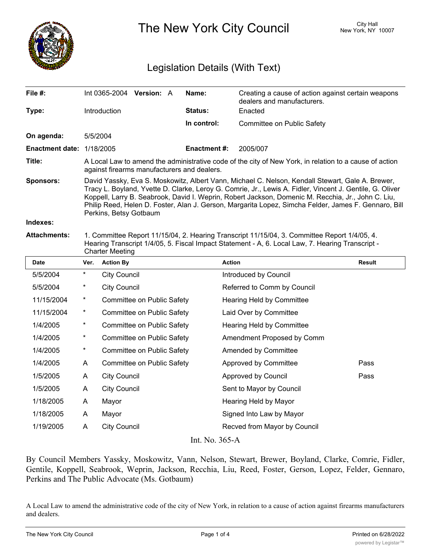

The New York City Council New York, NY 10007

# Legislation Details (With Text)

| File $#$ :             | Int 0365-2004                                                                                                                                                                                                                                                                                                                                                                                                                                        | <b>Version: A</b> |  | Name:               | Creating a cause of action against certain weapons<br>dealers and manufacturers. |  |  |
|------------------------|------------------------------------------------------------------------------------------------------------------------------------------------------------------------------------------------------------------------------------------------------------------------------------------------------------------------------------------------------------------------------------------------------------------------------------------------------|-------------------|--|---------------------|----------------------------------------------------------------------------------|--|--|
| Type:                  | Introduction                                                                                                                                                                                                                                                                                                                                                                                                                                         |                   |  | Status:             | Enacted                                                                          |  |  |
|                        |                                                                                                                                                                                                                                                                                                                                                                                                                                                      |                   |  | In control:         | Committee on Public Safety                                                       |  |  |
| On agenda:             | 5/5/2004                                                                                                                                                                                                                                                                                                                                                                                                                                             |                   |  |                     |                                                                                  |  |  |
| <b>Enactment date:</b> | 1/18/2005                                                                                                                                                                                                                                                                                                                                                                                                                                            |                   |  | <b>Enactment #:</b> | 2005/007                                                                         |  |  |
| Title:                 | A Local Law to amend the administrative code of the city of New York, in relation to a cause of action<br>against firearms manufacturers and dealers.                                                                                                                                                                                                                                                                                                |                   |  |                     |                                                                                  |  |  |
| <b>Sponsors:</b>       | David Yassky, Eva S. Moskowitz, Albert Vann, Michael C. Nelson, Kendall Stewart, Gale A. Brewer,<br>Tracy L. Boyland, Yvette D. Clarke, Leroy G. Comrie, Jr., Lewis A. Fidler, Vincent J. Gentile, G. Oliver<br>Koppell, Larry B. Seabrook, David I. Weprin, Robert Jackson, Domenic M. Recchia, Jr., John C. Liu,<br>Philip Reed, Helen D. Foster, Alan J. Gerson, Margarita Lopez, Simcha Felder, James F. Gennaro, Bill<br>Perkins, Betsy Gotbaum |                   |  |                     |                                                                                  |  |  |
| Indexes:               |                                                                                                                                                                                                                                                                                                                                                                                                                                                      |                   |  |                     |                                                                                  |  |  |
| <b>Attachments:</b>    | 1. Committee Report 11/15/04, 2. Hearing Transcript 11/15/04, 3. Committee Report 1/4/05, 4.                                                                                                                                                                                                                                                                                                                                                         |                   |  |                     |                                                                                  |  |  |

Hearing Transcript 1/4/05, 5. Fiscal Impact Statement - A, 6. Local Law, 7. Hearing Transcript -

Charter Meeting

| Date       | Ver.     | <b>Action By</b>           | <b>Action</b>                | <b>Result</b> |
|------------|----------|----------------------------|------------------------------|---------------|
| 5/5/2004   | $\ast$   | <b>City Council</b>        | Introduced by Council        |               |
| 5/5/2004   | $^\ast$  | <b>City Council</b>        | Referred to Comm by Council  |               |
| 11/15/2004 | $^\star$ | Committee on Public Safety | Hearing Held by Committee    |               |
| 11/15/2004 | $^\star$ | Committee on Public Safety | Laid Over by Committee       |               |
| 1/4/2005   | $^\ast$  | Committee on Public Safety | Hearing Held by Committee    |               |
| 1/4/2005   | $\ast$   | Committee on Public Safety | Amendment Proposed by Comm   |               |
| 1/4/2005   | $\ast$   | Committee on Public Safety | Amended by Committee         |               |
| 1/4/2005   | A        | Committee on Public Safety | Approved by Committee        | Pass          |
| 1/5/2005   | A        | <b>City Council</b>        | Approved by Council          | Pass          |
| 1/5/2005   | A        | <b>City Council</b>        | Sent to Mayor by Council     |               |
| 1/18/2005  | A        | Mayor                      | Hearing Held by Mayor        |               |
| 1/18/2005  | A        | Mayor                      | Signed Into Law by Mayor     |               |
| 1/19/2005  | A        | <b>City Council</b>        | Recved from Mayor by Council |               |
|            |          |                            |                              |               |

Int. No. 365-A

By Council Members Yassky, Moskowitz, Vann, Nelson, Stewart, Brewer, Boyland, Clarke, Comrie, Fidler, Gentile, Koppell, Seabrook, Weprin, Jackson, Recchia, Liu, Reed, Foster, Gerson, Lopez, Felder, Gennaro, Perkins and The Public Advocate (Ms. Gotbaum)

A Local Law to amend the administrative code of the city of New York, in relation to a cause of action against firearms manufacturers and dealers.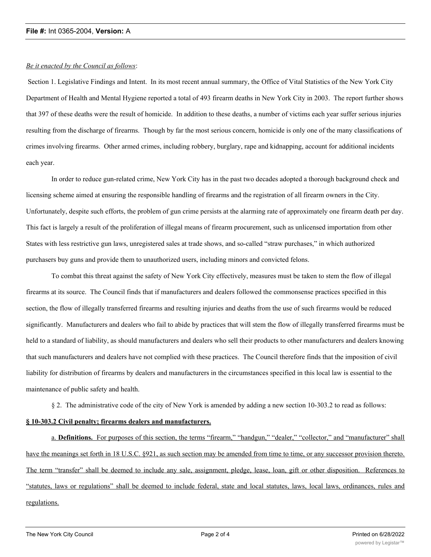### **File #:** Int 0365-2004, **Version:** A

## *Be it enacted by the Council as follows*:

 Section 1. Legislative Findings and Intent. In its most recent annual summary, the Office of Vital Statistics of the New York City Department of Health and Mental Hygiene reported a total of 493 firearm deaths in New York City in 2003. The report further shows that 397 of these deaths were the result of homicide. In addition to these deaths, a number of victims each year suffer serious injuries resulting from the discharge of firearms. Though by far the most serious concern, homicide is only one of the many classifications of crimes involving firearms. Other armed crimes, including robbery, burglary, rape and kidnapping, account for additional incidents each year.

In order to reduce gun-related crime, New York City has in the past two decades adopted a thorough background check and licensing scheme aimed at ensuring the responsible handling of firearms and the registration of all firearm owners in the City. Unfortunately, despite such efforts, the problem of gun crime persists at the alarming rate of approximately one firearm death per day. This fact is largely a result of the proliferation of illegal means of firearm procurement, such as unlicensed importation from other States with less restrictive gun laws, unregistered sales at trade shows, and so-called "straw purchases," in which authorized purchasers buy guns and provide them to unauthorized users, including minors and convicted felons.

To combat this threat against the safety of New York City effectively, measures must be taken to stem the flow of illegal firearms at its source. The Council finds that if manufacturers and dealers followed the commonsense practices specified in this section, the flow of illegally transferred firearms and resulting injuries and deaths from the use of such firearms would be reduced significantly. Manufacturers and dealers who fail to abide by practices that will stem the flow of illegally transferred firearms must be held to a standard of liability, as should manufacturers and dealers who sell their products to other manufacturers and dealers knowing that such manufacturers and dealers have not complied with these practices. The Council therefore finds that the imposition of civil liability for distribution of firearms by dealers and manufacturers in the circumstances specified in this local law is essential to the maintenance of public safety and health.

§ 2. The administrative code of the city of New York is amended by adding a new section 10-303.2 to read as follows:

# **§ 10-303.2 Civil penalty; firearms dealers and manufacturers.**

a. **Definitions.** For purposes of this section, the terms "firearm," "handgun," "dealer," "collector," and "manufacturer" shall have the meanings set forth in 18 U.S.C. §921, as such section may be amended from time to time, or any successor provision thereto. The term "transfer" shall be deemed to include any sale, assignment, pledge, lease, loan, gift or other disposition. References to "statutes, laws or regulations" shall be deemed to include federal, state and local statutes, laws, local laws, ordinances, rules and regulations.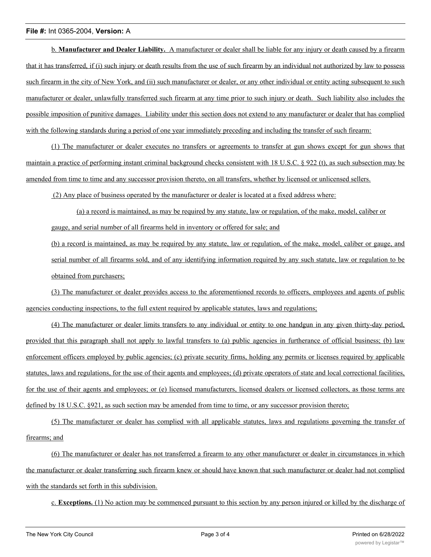### **File #:** Int 0365-2004, **Version:** A

b. **Manufacturer and Dealer Liability.** A manufacturer or dealer shall be liable for any injury or death caused by a firearm that it has transferred, if (i) such injury or death results from the use of such firearm by an individual not authorized by law to possess such firearm in the city of New York, and (ii) such manufacturer or dealer, or any other individual or entity acting subsequent to such manufacturer or dealer, unlawfully transferred such firearm at any time prior to such injury or death. Such liability also includes the possible imposition of punitive damages. Liability under this section does not extend to any manufacturer or dealer that has complied with the following standards during a period of one year immediately preceding and including the transfer of such firearm:

(1) The manufacturer or dealer executes no transfers or agreements to transfer at gun shows except for gun shows that maintain a practice of performing instant criminal background checks consistent with 18 U.S.C. § 922 (t), as such subsection may be amended from time to time and any successor provision thereto, on all transfers, whether by licensed or unlicensed sellers.

(2) Any place of business operated by the manufacturer or dealer is located at a fixed address where:

(a) a record is maintained, as may be required by any statute, law or regulation, of the make, model, caliber or gauge, and serial number of all firearms held in inventory or offered for sale; and

(b) a record is maintained, as may be required by any statute, law or regulation, of the make, model, caliber or gauge, and serial number of all firearms sold, and of any identifying information required by any such statute, law or regulation to be obtained from purchasers;

(3) The manufacturer or dealer provides access to the aforementioned records to officers, employees and agents of public agencies conducting inspections, to the full extent required by applicable statutes, laws and regulations;

(4) The manufacturer or dealer limits transfers to any individual or entity to one handgun in any given thirty-day period, provided that this paragraph shall not apply to lawful transfers to (a) public agencies in furtherance of official business; (b) law enforcement officers employed by public agencies; (c) private security firms, holding any permits or licenses required by applicable statutes, laws and regulations, for the use of their agents and employees; (d) private operators of state and local correctional facilities, for the use of their agents and employees; or (e) licensed manufacturers, licensed dealers or licensed collectors, as those terms are defined by 18 U.S.C. §921, as such section may be amended from time to time, or any successor provision thereto;

(5) The manufacturer or dealer has complied with all applicable statutes, laws and regulations governing the transfer of firearms; and

(6) The manufacturer or dealer has not transferred a firearm to any other manufacturer or dealer in circumstances in which the manufacturer or dealer transferring such firearm knew or should have known that such manufacturer or dealer had not complied with the standards set forth in this subdivision.

c. **Exceptions.** (1) No action may be commenced pursuant to this section by any person injured or killed by the discharge of